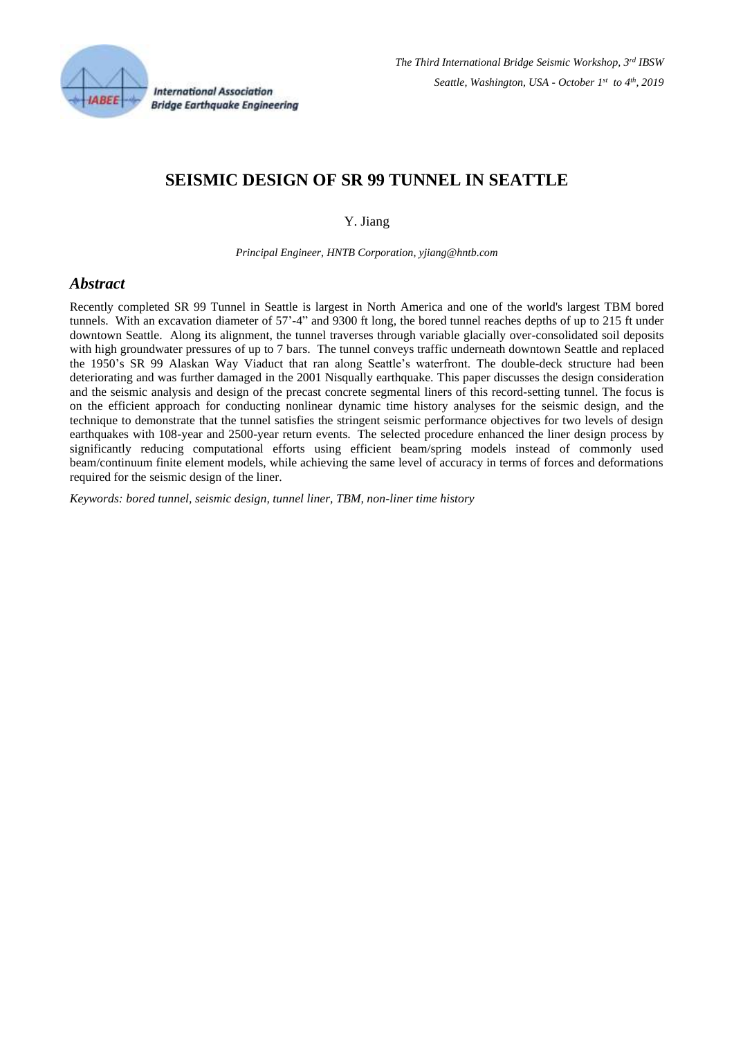

**International Association Bridge Earthquake Engineering** 

# **SEISMIC DESIGN OF SR 99 TUNNEL IN SEATTLE**

Y. Jiang

*Principal Engineer, HNTB Corporation, yjiang@hntb.com*

### *Abstract*

Recently completed SR 99 Tunnel in Seattle is largest in North America and one of the world's largest TBM bored tunnels. With an excavation diameter of 57'-4" and 9300 ft long, the bored tunnel reaches depths of up to 215 ft under downtown Seattle. Along its alignment, the tunnel traverses through variable glacially over-consolidated soil deposits with high groundwater pressures of up to 7 bars. The tunnel conveys traffic underneath downtown Seattle and replaced the 1950's SR 99 Alaskan Way Viaduct that ran along Seattle's waterfront. The double-deck structure had been deteriorating and was further damaged in the 2001 Nisqually earthquake. This paper discusses the design consideration and the seismic analysis and design of the precast concrete segmental liners of this record-setting tunnel. The focus is on the efficient approach for conducting nonlinear dynamic time history analyses for the seismic design, and the technique to demonstrate that the tunnel satisfies the stringent seismic performance objectives for two levels of design earthquakes with 108-year and 2500-year return events. The selected procedure enhanced the liner design process by significantly reducing computational efforts using efficient beam/spring models instead of commonly used beam/continuum finite element models, while achieving the same level of accuracy in terms of forces and deformations required for the seismic design of the liner.

*Keywords: bored tunnel, seismic design, tunnel liner, TBM, non-liner time history*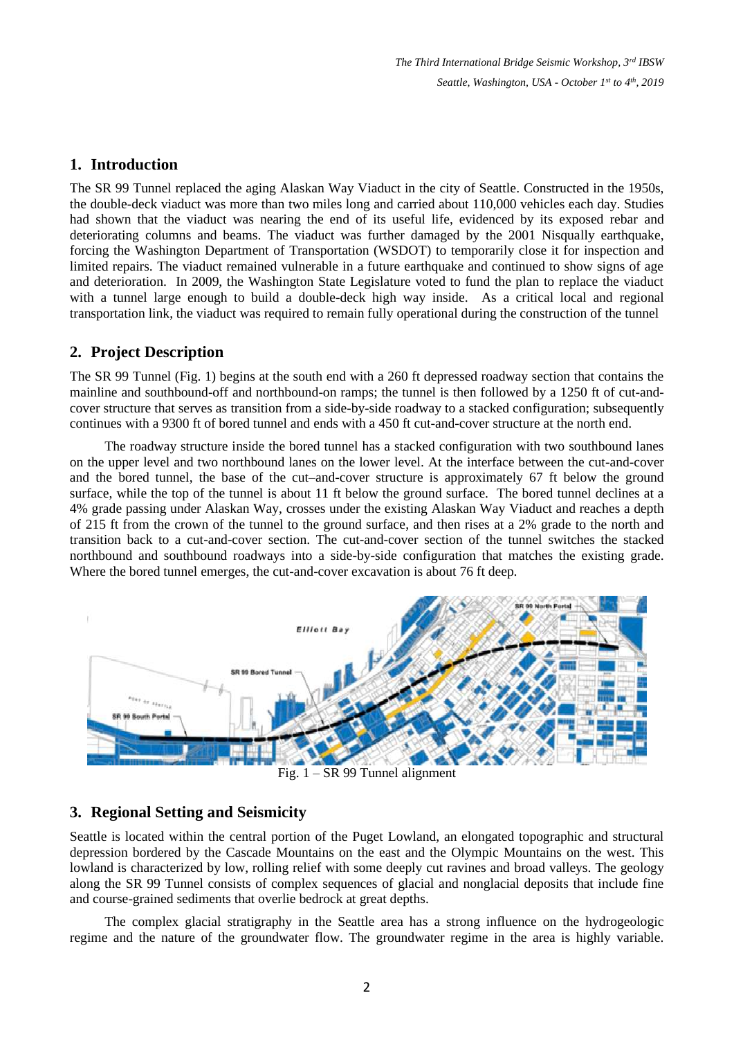### **1. Introduction**

The SR 99 Tunnel replaced the aging Alaskan Way Viaduct in the city of Seattle. Constructed in the 1950s, the double-deck viaduct was more than two miles long and carried about 110,000 vehicles each day. Studies had shown that the viaduct was nearing the end of its useful life, evidenced by its exposed rebar and deteriorating columns and beams. The viaduct was further damaged by the 2001 Nisqually earthquake, forcing the Washington Department of Transportation (WSDOT) to temporarily close it for inspection and limited repairs. The viaduct remained vulnerable in a future earthquake and continued to show signs of age and deterioration. In 2009, the Washington State Legislature voted to fund the plan to replace the viaduct with a tunnel large enough to build a double-deck high way inside. As a critical local and regional transportation link, the viaduct was required to remain fully operational during the construction of the tunnel

## **2. Project Description**

The SR 99 Tunnel (Fig. 1) begins at the south end with a 260 ft depressed roadway section that contains the mainline and southbound-off and northbound-on ramps; the tunnel is then followed by a 1250 ft of cut-andcover structure that serves as transition from a side-by-side roadway to a stacked configuration; subsequently continues with a 9300 ft of bored tunnel and ends with a 450 ft cut-and-cover structure at the north end.

The roadway structure inside the bored tunnel has a stacked configuration with two southbound lanes on the upper level and two northbound lanes on the lower level. At the interface between the cut-and-cover and the bored tunnel, the base of the cut–and-cover structure is approximately 67 ft below the ground surface, while the top of the tunnel is about 11 ft below the ground surface. The bored tunnel declines at a 4% grade passing under Alaskan Way, crosses under the existing Alaskan Way Viaduct and reaches a depth of 215 ft from the crown of the tunnel to the ground surface, and then rises at a 2% grade to the north and transition back to a cut-and-cover section. The cut-and-cover section of the tunnel switches the stacked northbound and southbound roadways into a side-by-side configuration that matches the existing grade. Where the bored tunnel emerges, the cut-and-cover excavation is about 76 ft deep.



Fig. 1 – SR 99 Tunnel alignment

## **3. Regional Setting and Seismicity**

Seattle is located within the central portion of the Puget Lowland, an elongated topographic and structural depression bordered by the Cascade Mountains on the east and the Olympic Mountains on the west. This lowland is characterized by low, rolling relief with some deeply cut ravines and broad valleys. The geology along the SR 99 Tunnel consists of complex sequences of glacial and nonglacial deposits that include fine and course-grained sediments that overlie bedrock at great depths.

The complex glacial stratigraphy in the Seattle area has a strong influence on the hydrogeologic regime and the nature of the groundwater flow. The groundwater regime in the area is highly variable.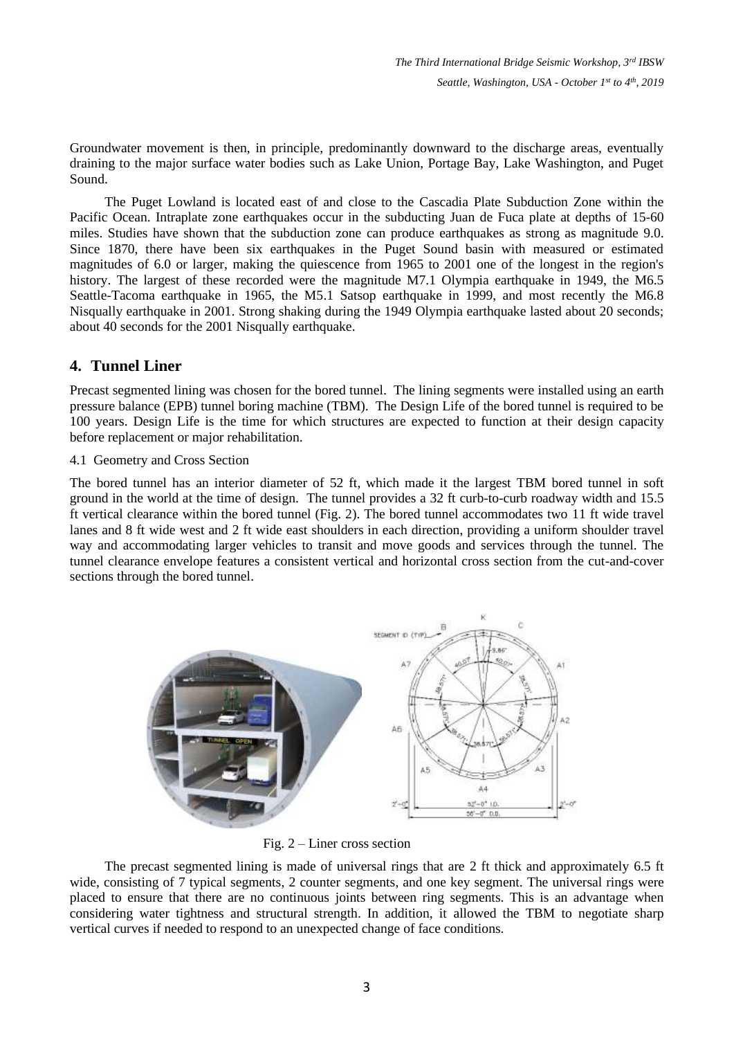Groundwater movement is then, in principle, predominantly downward to the discharge areas, eventually draining to the major surface water bodies such as Lake Union, Portage Bay, Lake Washington, and Puget Sound.

The Puget Lowland is located east of and close to the Cascadia Plate Subduction Zone within the Pacific Ocean. Intraplate zone earthquakes occur in the subducting Juan de Fuca plate at depths of 15-60 miles. Studies have shown that the subduction zone can produce earthquakes as strong as magnitude 9.0. Since 1870, there have been six earthquakes in the Puget Sound basin with measured or estimated magnitudes of 6.0 or larger, making the quiescence from 1965 to 2001 one of the longest in the region's history. The largest of these recorded were the magnitude M7.1 Olympia earthquake in 1949, the M6.5 Seattle-Tacoma earthquake in 1965, the M5.1 Satsop earthquake in 1999, and most recently the M6.8 Nisqually earthquake in 2001. Strong shaking during the 1949 Olympia earthquake lasted about 20 seconds; about 40 seconds for the 2001 Nisqually earthquake.

## **4. Tunnel Liner**

Precast segmented lining was chosen for the bored tunnel. The lining segments were installed using an earth pressure balance (EPB) tunnel boring machine (TBM). The Design Life of the bored tunnel is required to be 100 years. Design Life is the time for which structures are expected to function at their design capacity before replacement or major rehabilitation.

### 4.1 Geometry and Cross Section

The bored tunnel has an interior diameter of 52 ft, which made it the largest TBM bored tunnel in soft ground in the world at the time of design. The tunnel provides a 32 ft curb-to-curb roadway width and 15.5 ft vertical clearance within the bored tunnel (Fig. 2). The bored tunnel accommodates two 11 ft wide travel lanes and 8 ft wide west and 2 ft wide east shoulders in each direction, providing a uniform shoulder travel way and accommodating larger vehicles to transit and move goods and services through the tunnel. The tunnel clearance envelope features a consistent vertical and horizontal cross section from the cut-and-cover sections through the bored tunnel.



Fig. 2 – Liner cross section

The precast segmented lining is made of universal rings that are 2 ft thick and approximately 6.5 ft wide, consisting of 7 typical segments, 2 counter segments, and one key segment. The universal rings were placed to ensure that there are no continuous joints between ring segments. This is an advantage when considering water tightness and structural strength. In addition, it allowed the TBM to negotiate sharp vertical curves if needed to respond to an unexpected change of face conditions.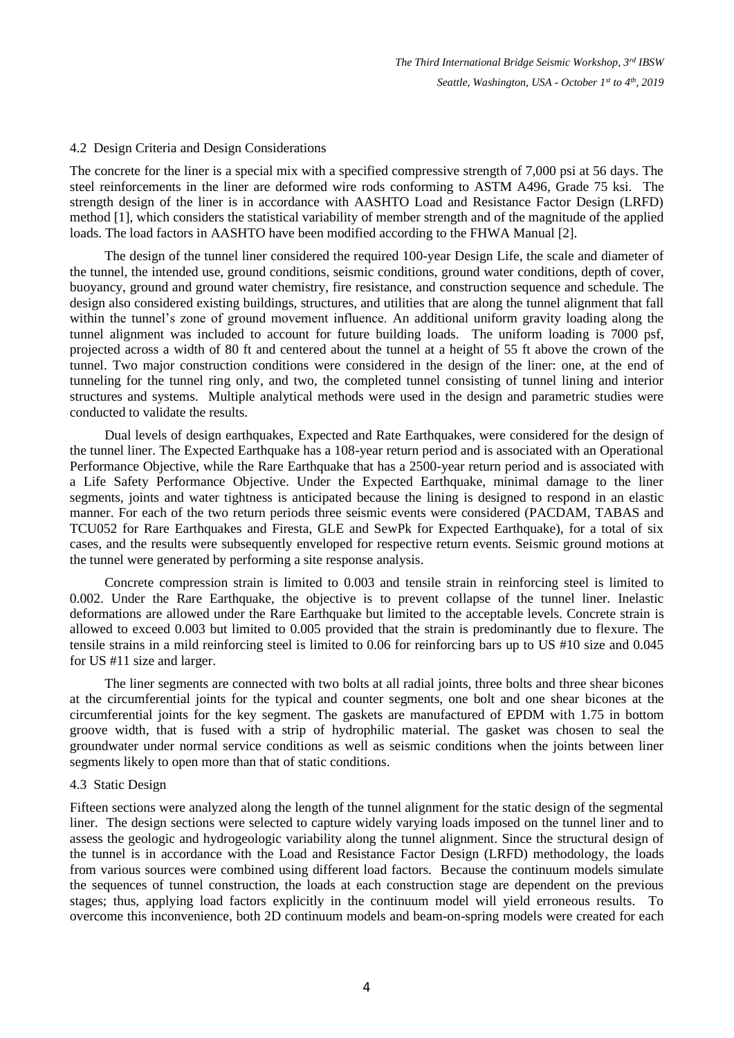*The Third International Bridge Seismic Workshop, 3rd IBSW Seattle, Washington, USA - October 1 st to 4th , 2019*

#### 4.2 Design Criteria and Design Considerations

The concrete for the liner is a special mix with a specified compressive strength of 7,000 psi at 56 days. The steel reinforcements in the liner are deformed wire rods conforming to ASTM A496, Grade 75 ksi. The strength design of the liner is in accordance with AASHTO Load and Resistance Factor Design (LRFD) method [1], which considers the statistical variability of member strength and of the magnitude of the applied loads. The load factors in AASHTO have been modified according to the FHWA Manual [2].

The design of the tunnel liner considered the required 100-year Design Life, the scale and diameter of the tunnel, the intended use, ground conditions, seismic conditions, ground water conditions, depth of cover, buoyancy, ground and ground water chemistry, fire resistance, and construction sequence and schedule. The design also considered existing buildings, structures, and utilities that are along the tunnel alignment that fall within the tunnel's zone of ground movement influence. An additional uniform gravity loading along the tunnel alignment was included to account for future building loads. The uniform loading is 7000 psf, projected across a width of 80 ft and centered about the tunnel at a height of 55 ft above the crown of the tunnel. Two major construction conditions were considered in the design of the liner: one, at the end of tunneling for the tunnel ring only, and two, the completed tunnel consisting of tunnel lining and interior structures and systems. Multiple analytical methods were used in the design and parametric studies were conducted to validate the results.

Dual levels of design earthquakes, Expected and Rate Earthquakes, were considered for the design of the tunnel liner. The Expected Earthquake has a 108-year return period and is associated with an Operational Performance Objective, while the Rare Earthquake that has a 2500-year return period and is associated with a Life Safety Performance Objective. Under the Expected Earthquake, minimal damage to the liner segments, joints and water tightness is anticipated because the lining is designed to respond in an elastic manner. For each of the two return periods three seismic events were considered (PACDAM, TABAS and TCU052 for Rare Earthquakes and Firesta, GLE and SewPk for Expected Earthquake), for a total of six cases, and the results were subsequently enveloped for respective return events. Seismic ground motions at the tunnel were generated by performing a site response analysis.

Concrete compression strain is limited to 0.003 and tensile strain in reinforcing steel is limited to 0.002. Under the Rare Earthquake, the objective is to prevent collapse of the tunnel liner. Inelastic deformations are allowed under the Rare Earthquake but limited to the acceptable levels. Concrete strain is allowed to exceed 0.003 but limited to 0.005 provided that the strain is predominantly due to flexure. The tensile strains in a mild reinforcing steel is limited to 0.06 for reinforcing bars up to US #10 size and 0.045 for US #11 size and larger.

The liner segments are connected with two bolts at all radial joints, three bolts and three shear bicones at the circumferential joints for the typical and counter segments, one bolt and one shear bicones at the circumferential joints for the key segment. The gaskets are manufactured of EPDM with 1.75 in bottom groove width, that is fused with a strip of hydrophilic material. The gasket was chosen to seal the groundwater under normal service conditions as well as seismic conditions when the joints between liner segments likely to open more than that of static conditions.

#### 4.3 Static Design

Fifteen sections were analyzed along the length of the tunnel alignment for the static design of the segmental liner. The design sections were selected to capture widely varying loads imposed on the tunnel liner and to assess the geologic and hydrogeologic variability along the tunnel alignment. Since the structural design of the tunnel is in accordance with the Load and Resistance Factor Design (LRFD) methodology, the loads from various sources were combined using different load factors. Because the continuum models simulate the sequences of tunnel construction, the loads at each construction stage are dependent on the previous stages; thus, applying load factors explicitly in the continuum model will yield erroneous results. To overcome this inconvenience, both 2D continuum models and beam-on-spring models were created for each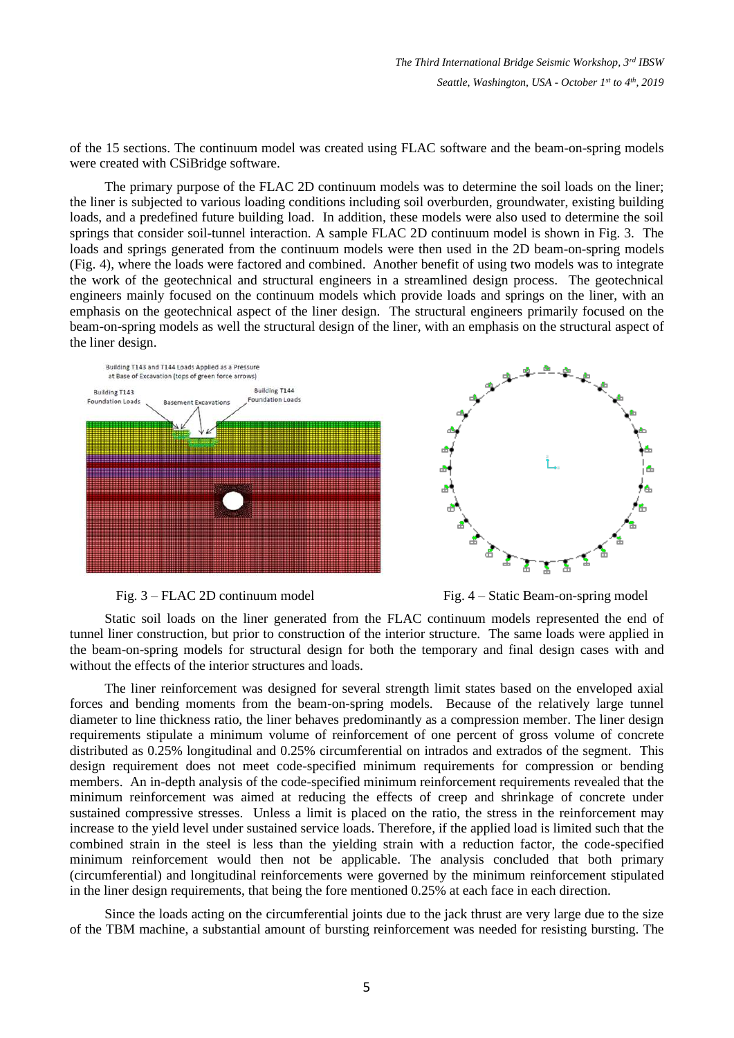of the 15 sections. The continuum model was created using FLAC software and the beam-on-spring models were created with CSiBridge software.

The primary purpose of the FLAC 2D continuum models was to determine the soil loads on the liner; the liner is subjected to various loading conditions including soil overburden, groundwater, existing building loads, and a predefined future building load. In addition, these models were also used to determine the soil springs that consider soil-tunnel interaction. A sample FLAC 2D continuum model is shown in Fig. 3. The loads and springs generated from the continuum models were then used in the 2D beam-on-spring models (Fig. 4), where the loads were factored and combined. Another benefit of using two models was to integrate the work of the geotechnical and structural engineers in a streamlined design process. The geotechnical engineers mainly focused on the continuum models which provide loads and springs on the liner, with an emphasis on the geotechnical aspect of the liner design. The structural engineers primarily focused on the beam-on-spring models as well the structural design of the liner, with an emphasis on the structural aspect of the liner design.







Static soil loads on the liner generated from the FLAC continuum models represented the end of tunnel liner construction, but prior to construction of the interior structure. The same loads were applied in the beam-on-spring models for structural design for both the temporary and final design cases with and without the effects of the interior structures and loads.

The liner reinforcement was designed for several strength limit states based on the enveloped axial forces and bending moments from the beam-on-spring models. Because of the relatively large tunnel diameter to line thickness ratio, the liner behaves predominantly as a compression member. The liner design requirements stipulate a minimum volume of reinforcement of one percent of gross volume of concrete distributed as 0.25% longitudinal and 0.25% circumferential on intrados and extrados of the segment. This design requirement does not meet code-specified minimum requirements for compression or bending members. An in-depth analysis of the code-specified minimum reinforcement requirements revealed that the minimum reinforcement was aimed at reducing the effects of creep and shrinkage of concrete under sustained compressive stresses. Unless a limit is placed on the ratio, the stress in the reinforcement may increase to the yield level under sustained service loads. Therefore, if the applied load is limited such that the combined strain in the steel is less than the yielding strain with a reduction factor, the code-specified minimum reinforcement would then not be applicable. The analysis concluded that both primary (circumferential) and longitudinal reinforcements were governed by the minimum reinforcement stipulated in the liner design requirements, that being the fore mentioned 0.25% at each face in each direction.

Since the loads acting on the circumferential joints due to the jack thrust are very large due to the size of the TBM machine, a substantial amount of bursting reinforcement was needed for resisting bursting. The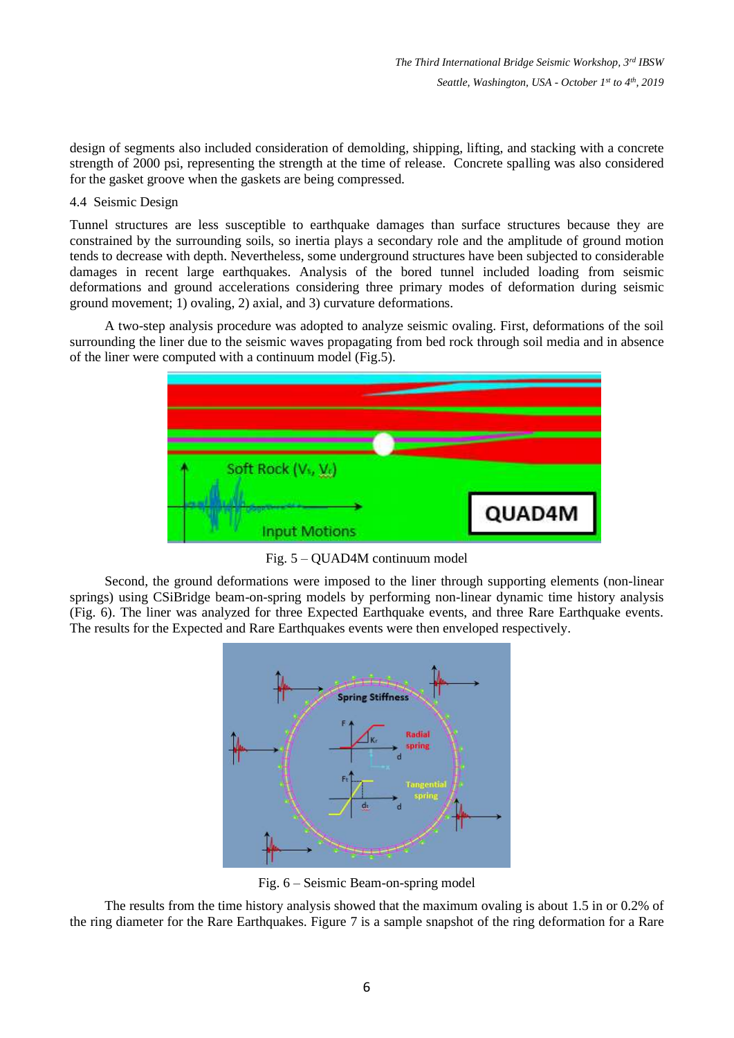design of segments also included consideration of demolding, shipping, lifting, and stacking with a concrete strength of 2000 psi, representing the strength at the time of release. Concrete spalling was also considered for the gasket groove when the gaskets are being compressed.

### 4.4 Seismic Design

Tunnel structures are less susceptible to earthquake damages than surface structures because they are constrained by the surrounding soils, so inertia plays a secondary role and the amplitude of ground motion tends to decrease with depth. Nevertheless, some underground structures have been subjected to considerable damages in recent large earthquakes. Analysis of the bored tunnel included loading from seismic deformations and ground accelerations considering three primary modes of deformation during seismic ground movement; 1) ovaling, 2) axial, and 3) curvature deformations.

A two-step analysis procedure was adopted to analyze seismic ovaling. First, deformations of the soil surrounding the liner due to the seismic waves propagating from bed rock through soil media and in absence of the liner were computed with a continuum model (Fig.5).



Fig. 5 – QUAD4M continuum model

Second, the ground deformations were imposed to the liner through supporting elements (non-linear springs) using CSiBridge beam-on-spring models by performing non-linear dynamic time history analysis (Fig. 6). The liner was analyzed for three Expected Earthquake events, and three Rare Earthquake events. The results for the Expected and Rare Earthquakes events were then enveloped respectively.



Fig. 6 – Seismic Beam-on-spring model

The results from the time history analysis showed that the maximum ovaling is about 1.5 in or 0.2% of the ring diameter for the Rare Earthquakes. Figure 7 is a sample snapshot of the ring deformation for a Rare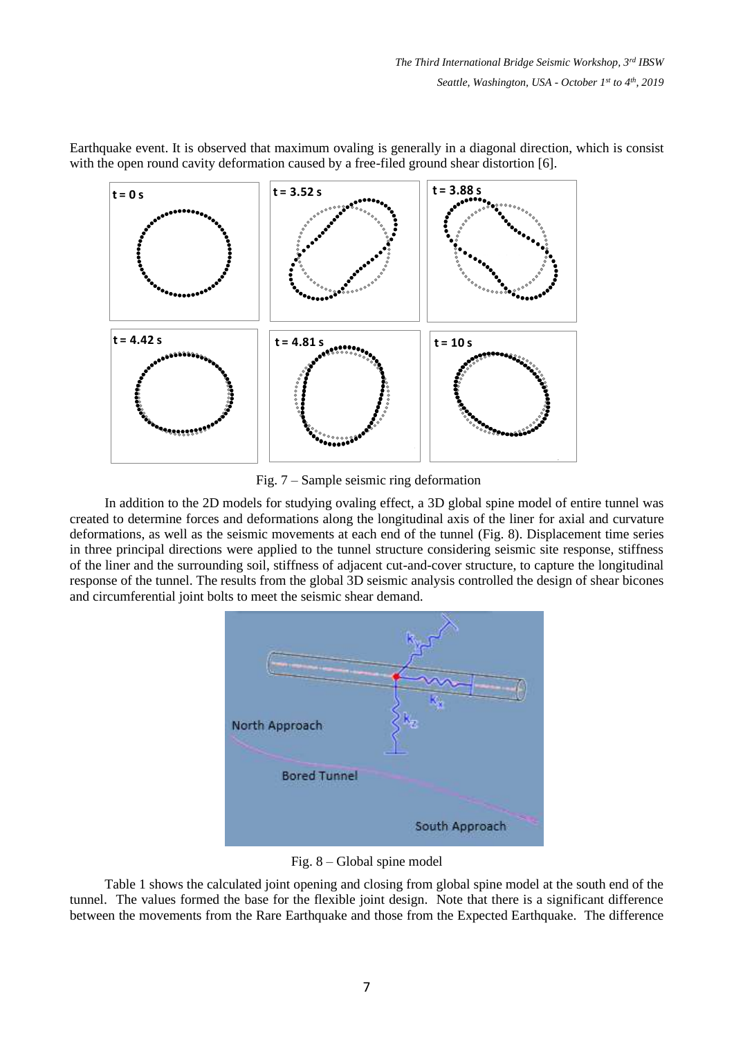

Earthquake event. It is observed that maximum ovaling is generally in a diagonal direction, which is consist with the open round cavity deformation caused by a free-filed ground shear distortion [6].

Fig. 7 – Sample seismic ring deformation

In addition to the 2D models for studying ovaling effect, a 3D global spine model of entire tunnel was created to determine forces and deformations along the longitudinal axis of the liner for axial and curvature deformations, as well as the seismic movements at each end of the tunnel (Fig. 8). Displacement time series in three principal directions were applied to the tunnel structure considering seismic site response, stiffness of the liner and the surrounding soil, stiffness of adjacent cut-and-cover structure, to capture the longitudinal response of the tunnel. The results from the global 3D seismic analysis controlled the design of shear bicones and circumferential joint bolts to meet the seismic shear demand.



Fig. 8 – Global spine model

Table 1 shows the calculated joint opening and closing from global spine model at the south end of the tunnel. The values formed the base for the flexible joint design. Note that there is a significant difference between the movements from the Rare Earthquake and those from the Expected Earthquake. The difference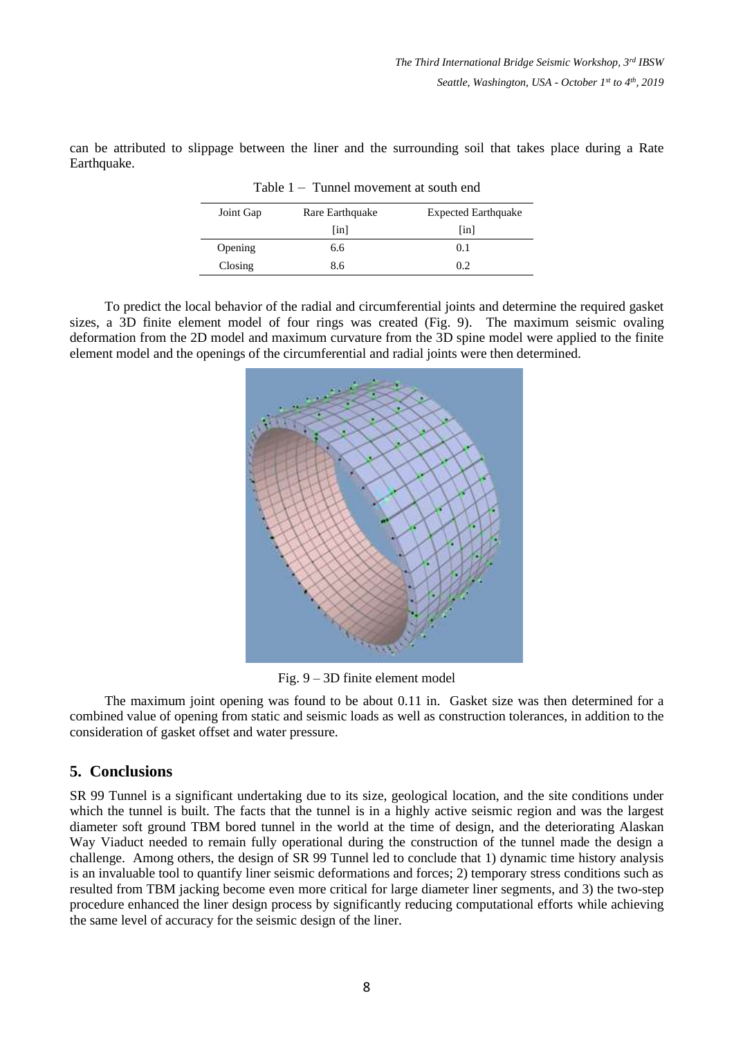| Table $1 -$ Tunnel movement at south end |                           |                            |
|------------------------------------------|---------------------------|----------------------------|
| Joint Gap                                | Rare Earthquake           | <b>Expected Earthquake</b> |
|                                          | $\lceil \text{in} \rceil$ | $\ln$                      |
| Opening                                  | 6.6                       | 0.1                        |
| Closing                                  | 8.6                       | 0.2                        |

can be attributed to slippage between the liner and the surrounding soil that takes place during a Rate Earthquake.

To predict the local behavior of the radial and circumferential joints and determine the required gasket sizes, a 3D finite element model of four rings was created (Fig. 9). The maximum seismic ovaling deformation from the 2D model and maximum curvature from the 3D spine model were applied to the finite element model and the openings of the circumferential and radial joints were then determined.



Fig. 9 – 3D finite element model

The maximum joint opening was found to be about 0.11 in. Gasket size was then determined for a combined value of opening from static and seismic loads as well as construction tolerances, in addition to the consideration of gasket offset and water pressure.

# **5. Conclusions**

SR 99 Tunnel is a significant undertaking due to its size, geological location, and the site conditions under which the tunnel is built. The facts that the tunnel is in a highly active seismic region and was the largest diameter soft ground TBM bored tunnel in the world at the time of design, and the deteriorating Alaskan Way Viaduct needed to remain fully operational during the construction of the tunnel made the design a challenge. Among others, the design of SR 99 Tunnel led to conclude that 1) dynamic time history analysis is an invaluable tool to quantify liner seismic deformations and forces; 2) temporary stress conditions such as resulted from TBM jacking become even more critical for large diameter liner segments, and 3) the two-step procedure enhanced the liner design process by significantly reducing computational efforts while achieving the same level of accuracy for the seismic design of the liner.